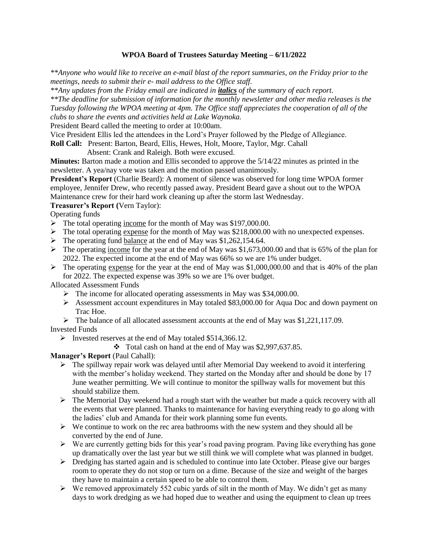## **WPOA Board of Trustees Saturday Meeting – 6/11/2022**

*\*\*Anyone who would like to receive an e-mail blast of the report summaries, on the Friday prior to the meetings, needs to submit their e- mail address to the Office staff.*

*\*\*Any updates from the Friday email are indicated in italics of the summary of each report.*

*\*\*The deadline for submission of information for the monthly newsletter and other media releases is the Tuesday following the WPOA meeting at 4pm. The Office staff appreciates the cooperation of all of the clubs to share the events and activities held at Lake Waynoka.*

President Beard called the meeting to order at 10:00am.

Vice President Ellis led the attendees in the Lord's Prayer followed by the Pledge of Allegiance.

**Roll Call:** Present: Barton, Beard, Ellis, Hewes, Holt, Moore, Taylor, Mgr. Cahall

Absent: Crank and Raleigh. Both were excused.

**Minutes:** Barton made a motion and Ellis seconded to approve the 5/14/22 minutes as printed in the newsletter. A yea/nay vote was taken and the motion passed unanimously.

**President's Report** (Charlie Beard): A moment of silence was observed for long time WPOA former employee, Jennifer Drew, who recently passed away. President Beard gave a shout out to the WPOA Maintenance crew for their hard work cleaning up after the storm last Wednesday.

#### **Treasurer's Report (**Vern Taylor):

Operating funds

- ➢ The total operating income for the month of May was \$197,000.00.
- $\triangleright$  The total operating expense for the month of May was \$218,000.00 with no unexpected expenses.
- $\triangleright$  The operating fund balance at the end of May was \$1,262,154.64.
- $\triangleright$  The operating income for the year at the end of May was \$1,673,000.00 and that is 65% of the plan for 2022. The expected income at the end of May was 66% so we are 1% under budget.
- $\triangleright$  The operating expense for the year at the end of May was \$1,000,000.00 and that is 40% of the plan for 2022. The expected expense was 39% so we are 1% over budget.

Allocated Assessment Funds

- ➢ The income for allocated operating assessments in May was \$34,000.00.
- ➢ Assessment account expenditures in May totaled \$83,000.00 for Aqua Doc and down payment on Trac Hoe.
- $\triangleright$  The balance of all allocated assessment accounts at the end of May was \$1,221,117.09.

Invested Funds

- ➢ Invested reserves at the end of May totaled \$514,366.12.
	- ❖ Total cash on hand at the end of May was \$2,997,637.85.

**Manager's Report** (Paul Cahall):

- ➢ The spillway repair work was delayed until after Memorial Day weekend to avoid it interfering with the member's holiday weekend. They started on the Monday after and should be done by 17 June weather permitting. We will continue to monitor the spillway walls for movement but this should stabilize them.
- ➢ The Memorial Day weekend had a rough start with the weather but made a quick recovery with all the events that were planned. Thanks to maintenance for having everything ready to go along with the ladies' club and Amanda for their work planning some fun events.
- $\triangleright$  We continue to work on the rec area bathrooms with the new system and they should all be converted by the end of June.
- $\triangleright$  We are currently getting bids for this year's road paving program. Paving like everything has gone up dramatically over the last year but we still think we will complete what was planned in budget.
- $\triangleright$  Dredging has started again and is scheduled to continue into late October. Please give our barges room to operate they do not stop or turn on a dime. Because of the size and weight of the barges they have to maintain a certain speed to be able to control them.
- $\triangleright$  We removed approximately 552 cubic yards of silt in the month of May. We didn't get as many days to work dredging as we had hoped due to weather and using the equipment to clean up trees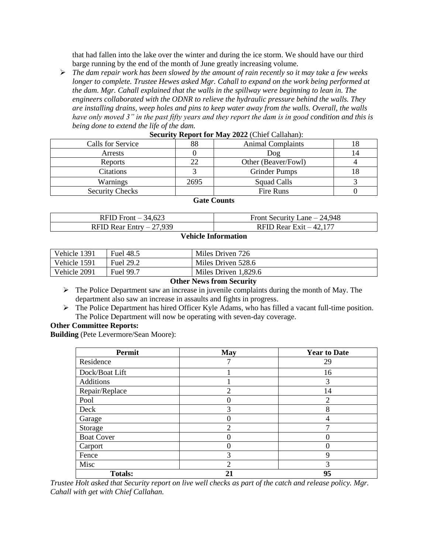that had fallen into the lake over the winter and during the ice storm. We should have our third barge running by the end of the month of June greatly increasing volume.

➢ *The dam repair work has been slowed by the amount of rain recently so it may take a few weeks longer to complete. Trustee Hewes asked Mgr. Cahall to expand on the work being performed at the dam. Mgr. Cahall explained that the walls in the spillway were beginning to lean in. The engineers collaborated with the ODNR to relieve the hydraulic pressure behind the walls. They are installing drains, weep holes and pins to keep water away from the walls. Overall, the walls have only moved 3" in the past fifty years and they report the dam is in good condition and this is being done to extend the life of the dam.*

| $\sim$                 |      |                          |  |  |  |
|------------------------|------|--------------------------|--|--|--|
| Calls for Service      | 88   | <b>Animal Complaints</b> |  |  |  |
| Arrests                |      | Dog                      |  |  |  |
| <b>Reports</b>         | 22   | Other (Beaver/Fowl)      |  |  |  |
| Citations              |      | <b>Grinder Pumps</b>     |  |  |  |
| Warnings               | 2695 | Squad Calls              |  |  |  |
| <b>Security Checks</b> |      | Fire Runs                |  |  |  |

#### **Security Report for May 2022** (Chief Callahan):

### **Gate Counts**

| RFID Front $-34,623$      | Front Security Lane $-24,948$ |
|---------------------------|-------------------------------|
| RFID Rear Entry $-27,939$ | RFID Rear Exit $-42.177$      |

#### **Vehicle Information**

| Vehicle 1391 | Fuel 48.5 | Miles Driven 726     |
|--------------|-----------|----------------------|
| Vehicle 1591 | Fuel 29.2 | Miles Driven 528.6   |
| Vehicle 2091 | Fuel 99.7 | Miles Driven 1,829.6 |

#### **Other News from Security**

- $\triangleright$  The Police Department saw an increase in juvenile complaints during the month of May. The department also saw an increase in assaults and fights in progress.
- ➢ The Police Department has hired Officer Kyle Adams, who has filled a vacant full-time position. The Police Department will now be operating with seven-day coverage.

#### **Other Committee Reports:**

**Building** (Pete Levermore/Sean Moore):

| Permit            | May            | <b>Year to Date</b> |
|-------------------|----------------|---------------------|
| Residence         |                | 29                  |
| Dock/Boat Lift    |                | 16                  |
| <b>Additions</b>  |                | 3                   |
| Repair/Replace    | $\overline{2}$ | 14                  |
| Pool              |                | $\overline{2}$      |
| Deck              | 3              | 8                   |
| Garage            |                | 4                   |
| Storage           | $\overline{2}$ |                     |
| <b>Boat Cover</b> |                |                     |
| Carport           |                |                     |
| Fence             | 3              | 9                   |
| Misc              | っ              | 3                   |
| <b>Totals:</b>    | 21             | 95                  |

*Trustee Holt asked that Security report on live well checks as part of the catch and release policy. Mgr. Cahall with get with Chief Callahan.*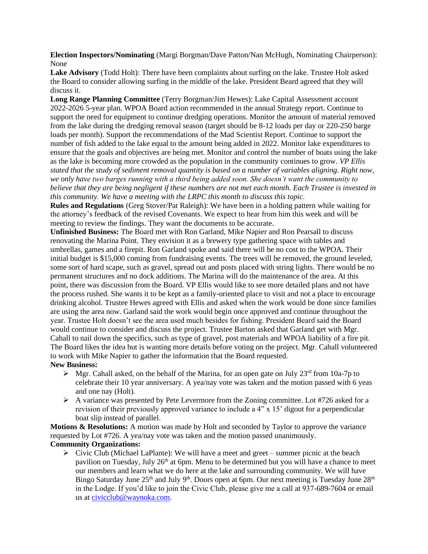**Election Inspectors/Nominating** (Margi Borgman/Dave Patton/Nan McHugh, Nominating Chairperson): None

**Lake Advisory** (Todd Holt): There have been complaints about surfing on the lake. Trustee Holt asked the Board to consider allowing surfing in the middle of the lake. President Beard agreed that they will discuss it.

**Long Range Planning Committee** (Terry Borgman/Jim Hewes): Lake Capital Assessment account 2022-2026 5-year plan. WPOA Board action recommended in the annual Strategy report. Continue to support the need for equipment to continue dredging operations. Monitor the amount of material removed from the lake during the dredging removal season (target should be 8-12 loads per day or 220-250 barge loads per month). Support the recommendations of the Mad Scientist Report. Continue to support the number of fish added to the lake equal to the amount being added in 2022. Monitor lake expenditures to ensure that the goals and objectives are being met. Monitor and control the number of boats using the lake as the lake is becoming more crowded as the population in the community continues to grow. *VP Ellis stated that the study of sediment removal quantity is based on a number of variables aligning. Right now, we only have two barges running with a third being added soon. She doesn't want the community to believe that they are being negligent if these numbers are not met each month. Each Trustee is invested in this community. We have a meeting with the LRPC this month to discuss this topic.*

**Rules and Regulations** (Greg Stover/Pat Raleigh): We have been in a holding pattern while waiting for the attorney's feedback of the revised Covenants. We expect to hear from him this week and will be meeting to review the findings. They want the documents to be accurate.

**Unfinished Business:** The Board met with Ron Garland, Mike Napier and Ron Pearsall to discuss renovating the Marina Point. They envision it as a brewery type gathering space with tables and umbrellas, games and a firepit. Ron Garland spoke and said there will be no cost to the WPOA. Their initial budget is \$15,000 coming from fundraising events. The trees will be removed, the ground leveled, some sort of hard scape, such as gravel, spread out and posts placed with string lights. There would be no permanent structures and no dock additions. The Marina will do the maintenance of the area. At this point, there was discussion from the Board. VP Ellis would like to see more detailed plans and not have the process rushed. She wants it to be kept as a family-oriented place to visit and not a place to encourage drinking alcohol. Trustee Hewes agreed with Ellis and asked when the work would be done since families are using the area now. Garland said the work would begin once approved and continue throughout the year. Trustee Holt doesn't see the area used much besides for fishing. President Beard said the Board would continue to consider and discuss the project. Trustee Barton asked that Garland get with Mgr. Cahall to nail down the specifics, such as type of gravel, post materials and WPOA liability of a fire pit. The Board likes the idea but is wanting more details before voting on the project. Mgr. Cahall volunteered to work with Mike Napier to gather the information that the Board requested.

## **New Business:**

- $\triangleright$  Mgr. Cahall asked, on the behalf of the Marina, for an open gate on July 23<sup>rd</sup> from 10a-7p to celebrate their 10 year anniversary. A yea/nay vote was taken and the motion passed with 6 yeas and one nay (Holt).
- ➢ A variance was presented by Pete Levermore from the Zoning committee. Lot #726 asked for a revision of their previously approved variance to include a 4" x 15' digout for a perpendicular boat slip instead of parallel.

**Motions & Resolutions:** A motion was made by Holt and seconded by Taylor to approve the variance requested by Lot #726. A yea/nay vote was taken and the motion passed unanimously. **Community Organizations:** 

 $\triangleright$  Civic Club (Michael LaPlante): We will have a meet and greet – summer picnic at the beach pavilion on Tuesday, July 26<sup>th</sup> at 6pm. Menu to be determined but you will have a chance to meet our members and learn what we do here at the lake and surrounding community. We will have Bingo Saturday June  $25<sup>th</sup>$  and July 9<sup>th</sup>. Doors open at 6pm. Our next meeting is Tuesday June  $28<sup>th</sup>$ in the Lodge. If you'd like to join the Civic Club, please give me a call at 937-689-7604 or email us at [civicclub@waynoka.com.](mailto:civicclub@waynoka.com)